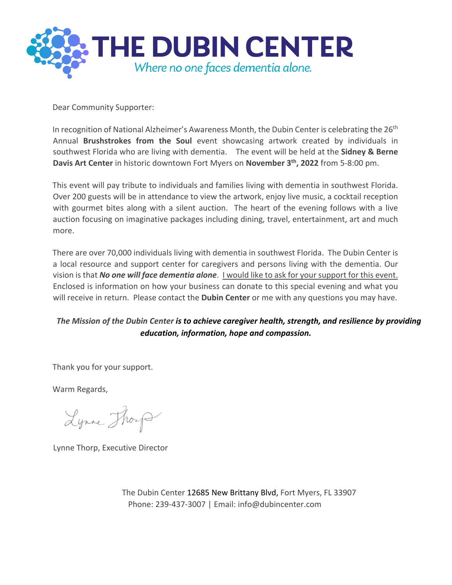

Dear Community Supporter:

In recognition of National Alzheimer's Awareness Month, the Dubin Center is celebrating the 26<sup>th</sup> Annual **Brushstrokes from the Soul** event showcasing artwork created by individuals in southwest Florida who are living with dementia. The event will be held at the **Sidney & Berne Davis Art Center** in historic downtown Fort Myers on **November 3th, 2022** from 5-8:00 pm.

This event will pay tribute to individuals and families living with dementia in southwest Florida. Over 200 guests will be in attendance to view the artwork, enjoy live music, a cocktail reception with gourmet bites along with a silent auction. The heart of the evening follows with a live auction focusing on imaginative packages including dining, travel, entertainment, art and much more.

There are over 70,000 individuals living with dementia in southwest Florida. The Dubin Center is a local resource and support center for caregivers and persons living with the dementia. Our vision is that *No one will face dementia alone*. I would like to ask for your support for this event. Enclosed is information on how your business can donate to this special evening and what you will receive in return. Please contact the **Dubin Center** or me with any questions you may have.

#### *The Mission of the Dubin Center is to achieve caregiver health, strength, and resilience by providing education, information, hope and compassion.*

Thank you for your support.

Warm Regards,

Lynne Though

Lynne Thorp, Executive Director

The Dubin Center 12685 New Brittany Blvd, Fort Myers, FL 33907 Phone: 239-437-3007 | Email: info@dubincenter.com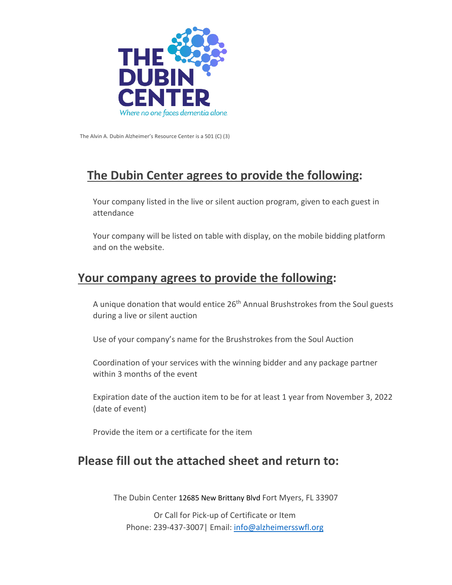

The Alvin A. Dubin Alzheimer's Resource Center is a 501 (C) (3)

## **The Dubin Center agrees to provide the following:**

 Your company listed in the live or silent auction program, given to each guest in attendance

 Your company will be listed on table with display, on the mobile bidding platform and on the website.

#### **Your company agrees to provide the following:**

A unique donation that would entice 26<sup>th</sup> Annual Brushstrokes from the Soul guests during a live or silent auction

Use of your company's name for the Brushstrokes from the Soul Auction

 Coordination of your services with the winning bidder and any package partner within 3 months of the event

 Expiration date of the auction item to be for at least 1 year from November 3, 2022 (date of event)

Provide the item or a certificate for the item

### **Please fill out the attached sheet and return to:**

The Dubin Center 12685 New Brittany Blvd Fort Myers, FL 33907

Or Call for Pick-up of Certificate or Item Phone: 239-437-3007| Email: info@alzheimersswfl.org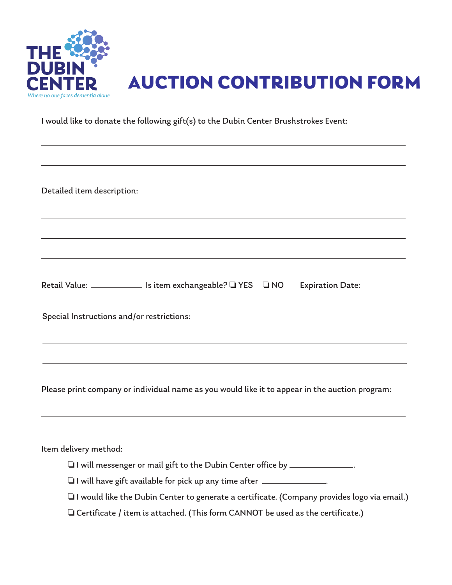



I would like to donate the following gift(s) to the Dubin Center Brushstrokes Event:

Detailed item description:

Retail Value: \_\_\_\_\_\_\_\_\_\_\_\_\_ Is item exchangeable?  $\square$  YES  $\square$  NO Expiration Date: \_\_\_\_\_\_\_\_\_\_\_

Special Instructions and/or restrictions:

Please print company or individual name as you would like it to appear in the auction program:

Item delivery method:

- $\Box$  I will messenger or mail gift to the Dubin Center office by  $\Box$
- $\Box$  I will have gift available for pick up any time after  $\Box$
- $\Box$  I would like the Dubin Center to generate a certificate. (Company provides logo via email.)
- $\Box$  Certificate / item is attached. (This form CANNOT be used as the certificate.)